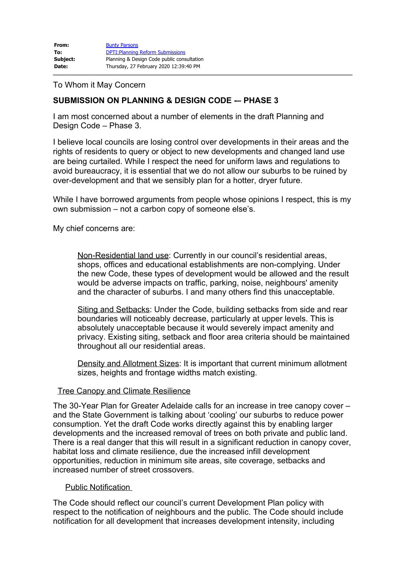| From:    | <b>Bunty Parsons</b>                       |
|----------|--------------------------------------------|
| To:      | <b>DPTI: Planning Reform Submissions</b>   |
| Subject: | Planning & Design Code public consultation |
| Date:    | Thursday, 27 February 2020 12:39:40 PM     |

## To Whom it May Concern

# **SUBMISSION ON PLANNING & DESIGN CODE -– PHASE 3**

I am most concerned about a number of elements in the draft Planning and Design Code – Phase 3.

I believe local councils are losing control over developments in their areas and the rights of residents to query or object to new developments and changed land use are being curtailed. While I respect the need for uniform laws and regulations to avoid bureaucracy, it is essential that we do not allow our suburbs to be ruined by over-development and that we sensibly plan for a hotter, dryer future.

While I have borrowed arguments from people whose opinions I respect, this is my own submission – not a carbon copy of someone else's.

My chief concerns are:

Non-Residential land use: Currently in our council's residential areas, shops, offices and educational establishments are non-complying. Under the new Code, these types of development would be allowed and the result would be adverse impacts on traffic, parking, noise, neighbours' amenity and the character of suburbs. I and many others find this unacceptable.

Siting and Setbacks: Under the Code, building setbacks from side and rear boundaries will noticeably decrease, particularly at upper levels. This is absolutely unacceptable because it would severely impact amenity and privacy. Existing siting, setback and floor area criteria should be maintained throughout all our residential areas.

Density and Allotment Sizes: It is important that current minimum allotment sizes, heights and frontage widths match existing.

### Tree Canopy and Climate Resilience

The 30-Year Plan for Greater Adelaide calls for an increase in tree canopy cover – and the State Government is talking about 'cooling' our suburbs to reduce power consumption. Yet the draft Code works directly against this by enabling larger developments and the increased removal of trees on both private and public land. There is a real danger that this will result in a significant reduction in canopy cover, habitat loss and climate resilience, due the increased infill development opportunities, reduction in minimum site areas, site coverage, setbacks and increased number of street crossovers.

### Public Notification

The Code should reflect our council's current Development Plan policy with respect to the notification of neighbours and the public. The Code should include notification for all development that increases development intensity, including